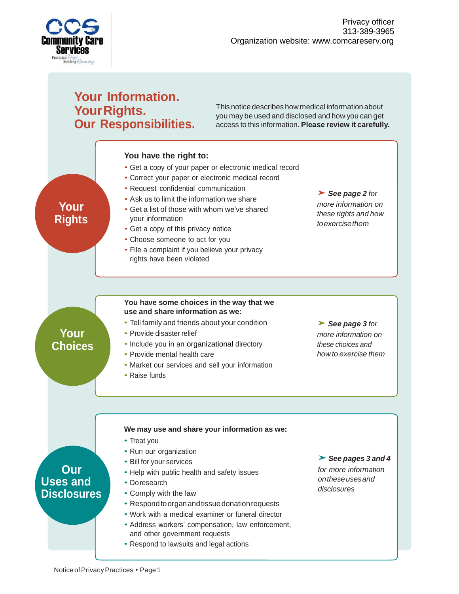

## **Your Information. Your Rights. Our Responsibilities.**

This notice describes how medical information about you may be used and disclosed and how you can get access to this information. **Please review it carefully.**

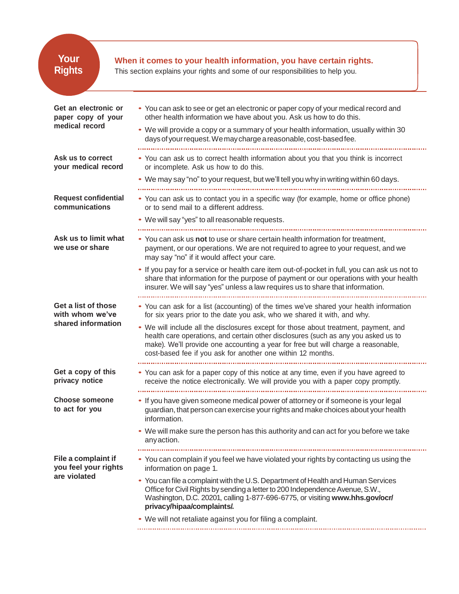| Your<br><b>Rights</b>                                        | When it comes to your health information, you have certain rights.<br>This section explains your rights and some of our responsibilities to help you.                                                                                                                                                                                                                                                                                                                                                 |
|--------------------------------------------------------------|-------------------------------------------------------------------------------------------------------------------------------------------------------------------------------------------------------------------------------------------------------------------------------------------------------------------------------------------------------------------------------------------------------------------------------------------------------------------------------------------------------|
| Get an electronic or<br>paper copy of your<br>medical record | • You can ask to see or get an electronic or paper copy of your medical record and<br>other health information we have about you. Ask us how to do this.<br>• We will provide a copy or a summary of your health information, usually within 30<br>days of your request. We may charge a reasonable, cost-based fee.                                                                                                                                                                                  |
| Ask us to correct<br>your medical record                     | • You can ask us to correct health information about you that you think is incorrect<br>or incomplete. Ask us how to do this.<br>• We may say "no" to your request, but we'll tell you why in writing within 60 days.                                                                                                                                                                                                                                                                                 |
| <b>Request confidential</b><br>communications                | • You can ask us to contact you in a specific way (for example, home or office phone)<br>or to send mail to a different address.<br>• We will say "yes" to all reasonable requests.                                                                                                                                                                                                                                                                                                                   |
| Ask us to limit what<br>we use or share                      | • You can ask us not to use or share certain health information for treatment,<br>payment, or our operations. We are not required to agree to your request, and we<br>may say "no" if it would affect your care.                                                                                                                                                                                                                                                                                      |
|                                                              | • If you pay for a service or health care item out-of-pocket in full, you can ask us not to<br>share that information for the purpose of payment or our operations with your health<br>insurer. We will say "yes" unless a law requires us to share that information.                                                                                                                                                                                                                                 |
| Get a list of those<br>with whom we've<br>shared information | • You can ask for a list (accounting) of the times we've shared your health information<br>for six years prior to the date you ask, who we shared it with, and why.<br>• We will include all the disclosures except for those about treatment, payment, and<br>health care operations, and certain other disclosures (such as any you asked us to<br>make). We'll provide one accounting a year for free but will charge a reasonable,<br>cost-based fee if you ask for another one within 12 months. |
| Get a copy of this<br>privacy notice                         | • You can ask for a paper copy of this notice at any time, even if you have agreed to<br>receive the notice electronically. We will provide you with a paper copy promptly.                                                                                                                                                                                                                                                                                                                           |
| <b>Choose someone</b><br>to act for you                      | • If you have given someone medical power of attorney or if someone is your legal<br>guardian, that person can exercise your rights and make choices about your health<br>information.<br>• We will make sure the person has this authority and can act for you before we take                                                                                                                                                                                                                        |
|                                                              | any action.                                                                                                                                                                                                                                                                                                                                                                                                                                                                                           |
| File a complaint if<br>you feel your rights<br>are violated  | • You can complain if you feel we have violated your rights by contacting us using the<br>information on page 1.<br>• You can file a complaint with the U.S. Department of Health and Human Services                                                                                                                                                                                                                                                                                                  |
|                                                              | Office for Civil Rights by sending a letter to 200 Independence Avenue, S.W.,<br>Washington, D.C. 20201, calling 1-877-696-6775, or visiting www.hhs.gov/ocr/<br>privacy/hipaa/complaints/.                                                                                                                                                                                                                                                                                                           |
|                                                              | • We will not retaliate against you for filing a complaint.                                                                                                                                                                                                                                                                                                                                                                                                                                           |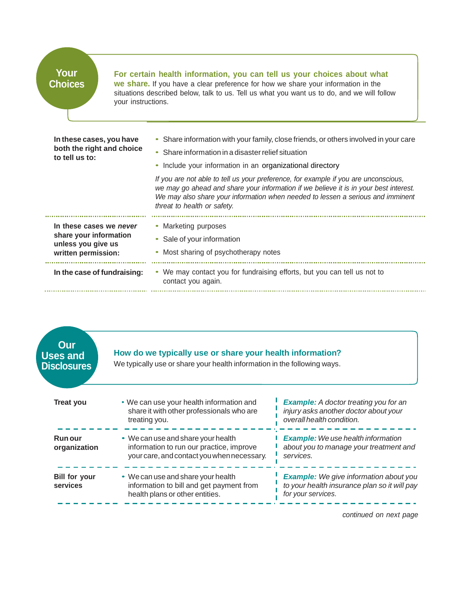| Your<br><b>Choices</b>                                                                         | your instructions. | For certain health information, you can tell us your choices about what<br>we share. If you have a clear preference for how we share your information in the<br>situations described below, talk to us. Tell us what you want us to do, and we will follow                                                                                                                                                                                                                                              |  |
|------------------------------------------------------------------------------------------------|--------------------|---------------------------------------------------------------------------------------------------------------------------------------------------------------------------------------------------------------------------------------------------------------------------------------------------------------------------------------------------------------------------------------------------------------------------------------------------------------------------------------------------------|--|
| In these cases, you have<br>both the right and choice<br>to tell us to:                        |                    | • Share information with your family, close friends, or others involved in your care<br>• Share information in a disaster relief situation<br>Include your information in an organizational directory<br>If you are not able to tell us your preference, for example if you are unconscious,<br>we may go ahead and share your information if we believe it is in your best interest.<br>We may also share your information when needed to lessen a serious and imminent<br>threat to health or safety. |  |
| In these cases we never<br>share your information<br>unless you give us<br>written permission: |                    | • Marketing purposes<br>• Sale of your information<br>• Most sharing of psychotherapy notes                                                                                                                                                                                                                                                                                                                                                                                                             |  |
| In the case of fundraising:                                                                    |                    | • We may contact you for fundraising efforts, but you can tell us not to<br>contact you again.                                                                                                                                                                                                                                                                                                                                                                                                          |  |

| Our<br><b>Uses and</b><br><b>Disclosures</b> | How do we typically use or share your health information?<br>We typically use or share your health information in the following ways. |                                                                                                                     |  |
|----------------------------------------------|---------------------------------------------------------------------------------------------------------------------------------------|---------------------------------------------------------------------------------------------------------------------|--|
| <b>Treat you</b>                             | • We can use your health information and<br>share it with other professionals who are<br>treating you.                                | <b>Example:</b> A doctor treating you for an<br>injury asks another doctor about your<br>overall health condition.  |  |
| <b>Run our</b><br>organization               | • We can use and share your health<br>information to run our practice, improve<br>your care, and contact you when necessary.          | <b>Example:</b> We use health information<br>about you to manage your treatment and<br>services.                    |  |
| <b>Bill for your</b><br>services             | • We can use and share your health<br>information to bill and get payment from<br>health plans or other entities.                     | <b>Example:</b> We give information about you<br>to your health insurance plan so it will pay<br>for your services. |  |

*continued on next page*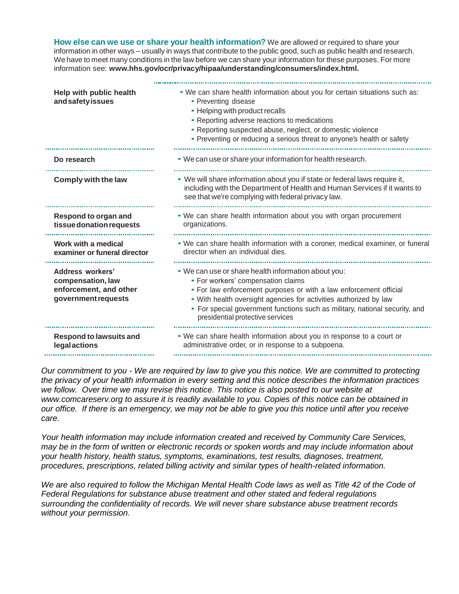**How else can we use or share your health information?** We are allowed or required to share your information in other ways – usually in ways that contribute to the public good, such as public health and research. We have to meet many conditions in the law before we can share your information for these purposes. For more information see: **[www.hhs.gov/ocr/privacy/hipaa/understanding/consumers/index.html](http://www.hhs.gov/ocr/privacy/hipaa/understanding/consumers/index.html).**

| . We can share health information about you for certain situations such as:<br>• Preventing disease<br>• Helping with product recalls<br>• Reporting adverse reactions to medications<br>• Reporting suspected abuse, neglect, or domestic violence<br>• Preventing or reducing a serious threat to anyone's health or safety                          |
|--------------------------------------------------------------------------------------------------------------------------------------------------------------------------------------------------------------------------------------------------------------------------------------------------------------------------------------------------------|
| . We can use or share your information for health research.                                                                                                                                                                                                                                                                                            |
| • We will share information about you if state or federal laws require it,<br>including with the Department of Health and Human Services if it wants to<br>see that we're complying with federal privacy law.                                                                                                                                          |
| • We can share health information about you with organ procurement<br>organizations.                                                                                                                                                                                                                                                                   |
| . We can share health information with a coroner, medical examiner, or funeral<br>director when an individual dies.                                                                                                                                                                                                                                    |
| • We can use or share health information about you:<br>• For workers' compensation claims<br>• For law enforcement purposes or with a law enforcement official<br>. With health oversight agencies for activities authorized by law<br>• For special government functions such as military, national security, and<br>presidential protective services |
| • We can share health information about you in response to a court or<br>administrative order, or in response to a subpoena.                                                                                                                                                                                                                           |
|                                                                                                                                                                                                                                                                                                                                                        |

*Our commitment to you - We are required by law to give you this notice. We are committed to protecting the privacy of your health information in every setting and this notice describes the information practices we follow. Over time we may revise this notice. This notice is also posted to our website at www.comcareserv.org to assure it is readily available to you. Copies of this notice can be obtained in our office. If there is an emergency, we may not be able to give you this notice until after you receive care.* 

*Your health information may include information created and received by Community Care Services, may be in the form of written or electronic records or spoken words and may include information about your health history, health status, symptoms, examinations, test results, diagnoses, treatment, procedures, prescriptions, related billing activity and similar types of health-related information.* 

We are also required to follow the Michigan Mental Health Code laws as well as Title 42 of the Code of *Federal Regulations for substance abuse treatment and other stated and federal regulations surrounding the confidentiality of records. We will never share substance abuse treatment records without your permission.*